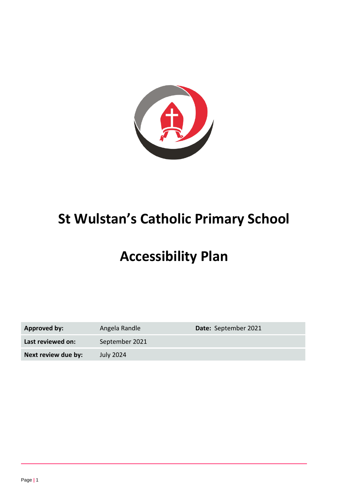

# **St Wulstan's Catholic Primary School**

# **Accessibility Plan**

| Approved by:        | Angela Randle    | Date: September 2021 |
|---------------------|------------------|----------------------|
| Last reviewed on:   | September 2021   |                      |
| Next review due by: | <b>July 2024</b> |                      |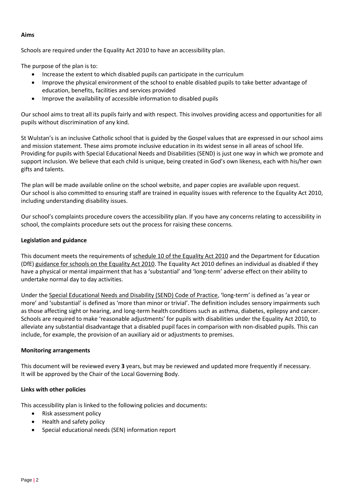### **Aims**

Schools are required under the Equality Act 2010 to have an accessibility plan.

The purpose of the plan is to:

- Increase the extent to which disabled pupils can participate in the curriculum
- Improve the physical environment of the school to enable disabled pupils to take better advantage of education, benefits, facilities and services provided
- Improve the availability of accessible information to disabled pupils

Our school aims to treat all its pupils fairly and with respect. This involves providing access and opportunities for all pupils without discrimination of any kind.

St Wulstan's is an inclusive Catholic school that is guided by the Gospel values that are expressed in our school aims and mission statement. These aims promote inclusive education in its widest sense in all areas of school life. Providing for pupils with Special Educational Needs and Disabilities (SEND) is just one way in which we promote and support inclusion. We believe that each child is unique, being created in God's own likeness, each with his/her own gifts and talents.

The plan will be made available online on the school website, and paper copies are available upon request. Our school is also committed to ensuring staff are trained in equality issues with reference to the Equality Act 2010, including understanding disability issues.

Our school's complaints procedure covers the accessibility plan. If you have any concerns relating to accessibility in school, the complaints procedure sets out the process for raising these concerns.

### **Legislation and guidance**

This document meets the requirements of [schedule 10 of the Equality Act 2010](http://www.legislation.gov.uk/ukpga/2010/15/schedule/10) and the Department for Education (DfE[\) guidance for schools on the Equality Act 2010.](https://www.gov.uk/government/publications/equality-act-2010-advice-for-schools) The Equality Act 2010 defines an individual as disabled if they have a physical or mental impairment that has a 'substantial' and 'long-term' adverse effect on their ability to undertake normal day to day activities.

Under the [Special Educational Needs and Disability \(SEND\) Code of Practice](https://www.gov.uk/government/publications/send-code-of-practice-0-to-25), 'long-term' is defined as 'a year or more' and 'substantial' is defined as 'more than minor or trivial'. The definition includes sensory impairments such as those affecting sight or hearing, and long-term health conditions such as asthma, diabetes, epilepsy and cancer. Schools are required to make 'reasonable adjustments' for pupils with disabilities under the Equality Act 2010, to alleviate any substantial disadvantage that a disabled pupil faces in comparison with non-disabled pupils. This can include, for example, the provision of an auxiliary aid or adjustments to premises.

#### **Monitoring arrangements**

This document will be reviewed every **3** years, but may be reviewed and updated more frequently if necessary. It will be approved by the Chair of the Local Governing Body.

#### **Links with other policies**

This accessibility plan is linked to the following policies and documents:

- Risk assessment policy
- Health and safety policy
- Special educational needs (SEN) information report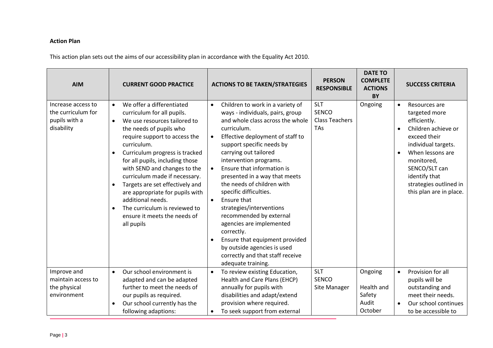## **Action Plan**

This action plan sets out the aims of our accessibility plan in accordance with the Equality Act 2010.

| <b>AIM</b>                                                              | <b>CURRENT GOOD PRACTICE</b>                                                                                                                                                                                                                                                                                                                                                                                                                                                                                                                        | <b>ACTIONS TO BE TAKEN/STRATEGIES</b>                                                                                                                                                                                                                                                                                                                                                                                                                                                                                                                                                                                                                                          | <b>PERSON</b><br><b>RESPONSIBLE</b>                        | <b>DATE TO</b><br><b>COMPLETE</b><br><b>ACTIONS</b><br>BY | <b>SUCCESS CRITERIA</b>                                                                                                                                                                                                                            |
|-------------------------------------------------------------------------|-----------------------------------------------------------------------------------------------------------------------------------------------------------------------------------------------------------------------------------------------------------------------------------------------------------------------------------------------------------------------------------------------------------------------------------------------------------------------------------------------------------------------------------------------------|--------------------------------------------------------------------------------------------------------------------------------------------------------------------------------------------------------------------------------------------------------------------------------------------------------------------------------------------------------------------------------------------------------------------------------------------------------------------------------------------------------------------------------------------------------------------------------------------------------------------------------------------------------------------------------|------------------------------------------------------------|-----------------------------------------------------------|----------------------------------------------------------------------------------------------------------------------------------------------------------------------------------------------------------------------------------------------------|
| Increase access to<br>the curriculum for<br>pupils with a<br>disability | We offer a differentiated<br>$\bullet$<br>curriculum for all pupils.<br>We use resources tailored to<br>$\bullet$<br>the needs of pupils who<br>require support to access the<br>curriculum.<br>Curriculum progress is tracked<br>$\bullet$<br>for all pupils, including those<br>with SEND and changes to the<br>curriculum made if necessary.<br>Targets are set effectively and<br>$\bullet$<br>are appropriate for pupils with<br>additional needs.<br>The curriculum is reviewed to<br>$\bullet$<br>ensure it meets the needs of<br>all pupils | Children to work in a variety of<br>$\bullet$<br>ways - individuals, pairs, group<br>and whole class across the whole<br>curriculum.<br>Effective deployment of staff to<br>$\bullet$<br>support specific needs by<br>carrying out tailored<br>intervention programs.<br>Ensure that information is<br>$\bullet$<br>presented in a way that meets<br>the needs of children with<br>specific difficulties.<br>Ensure that<br>$\bullet$<br>strategies/interventions<br>recommended by external<br>agencies are implemented<br>correctly.<br>Ensure that equipment provided<br>$\bullet$<br>by outside agencies is used<br>correctly and that staff receive<br>adequate training. | <b>SLT</b><br><b>SENCO</b><br><b>Class Teachers</b><br>TAs | Ongoing                                                   | Resources are<br>$\bullet$<br>targeted more<br>efficiently.<br>Children achieve or<br>exceed their<br>individual targets.<br>When lessons are<br>monitored,<br>SENCO/SLT can<br>identify that<br>strategies outlined in<br>this plan are in place. |
| Improve and<br>maintain access to<br>the physical<br>environment        | Our school environment is<br>$\bullet$<br>adapted and can be adapted<br>further to meet the needs of<br>our pupils as required.<br>Our school currently has the<br>following adaptions:                                                                                                                                                                                                                                                                                                                                                             | To review existing Education,<br>$\bullet$<br>Health and Care Plans (EHCP)<br>annually for pupils with<br>disabilities and adapt/extend<br>provision where required.<br>To seek support from external<br>$\bullet$                                                                                                                                                                                                                                                                                                                                                                                                                                                             | <b>SLT</b><br><b>SENCO</b><br>Site Manager                 | Ongoing<br>Health and<br>Safety<br>Audit<br>October       | Provision for all<br>$\bullet$<br>pupils will be<br>outstanding and<br>meet their needs.<br>Our school continues<br>to be accessible to                                                                                                            |